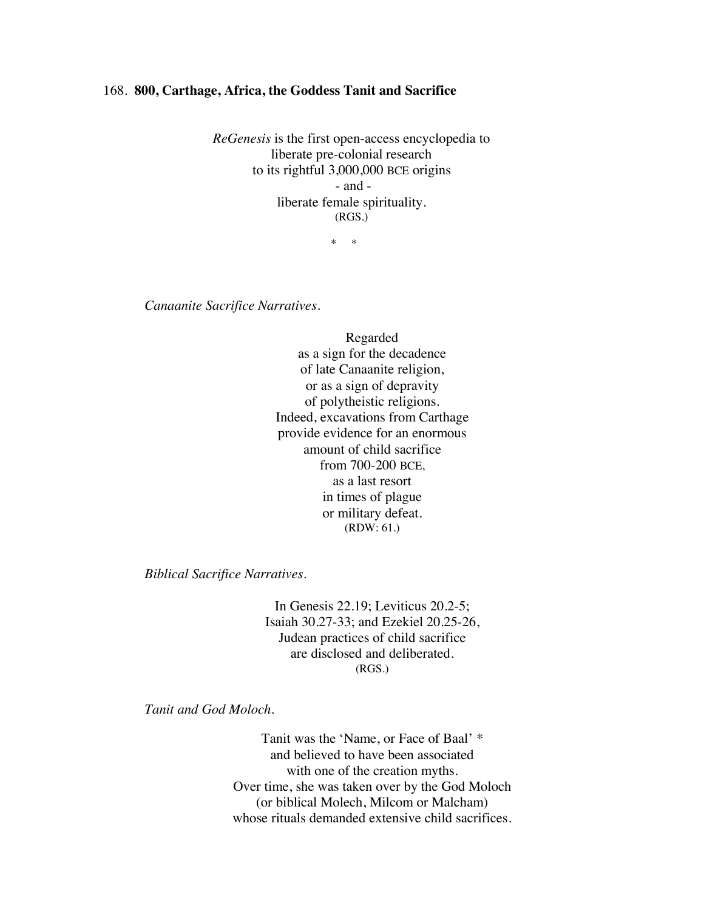## 168. **800, Carthage, Africa, the Goddess Tanit and Sacrifice**

*ReGenesis* is the first open-access encyclopedia to liberate pre-colonial research to its rightful 3,000,000 BCE origins - and liberate female spirituality. (RGS.)

\* \*

*Canaanite Sacrifice Narratives.*

Regarded as a sign for the decadence of late Canaanite religion, or as a sign of depravity of polytheistic religions. Indeed, excavations from Carthage provide evidence for an enormous amount of child sacrifice from 700-200 BCE, as a last resort in times of plague or military defeat. (RDW: 61.)

*Biblical Sacrifice Narratives.*

In Genesis 22.19; Leviticus 20.2-5; Isaiah 30.27-33; and Ezekiel 20.25-26, Judean practices of child sacrifice are disclosed and deliberated.  $(RGS.)$ 

*Tanit and God Moloch.*

Tanit was the 'Name, or Face of Baal' \* and believed to have been associated with one of the creation myths. Over time, she was taken over by the God Moloch (or biblical Molech, Milcom or Malcham) whose rituals demanded extensive child sacrifices.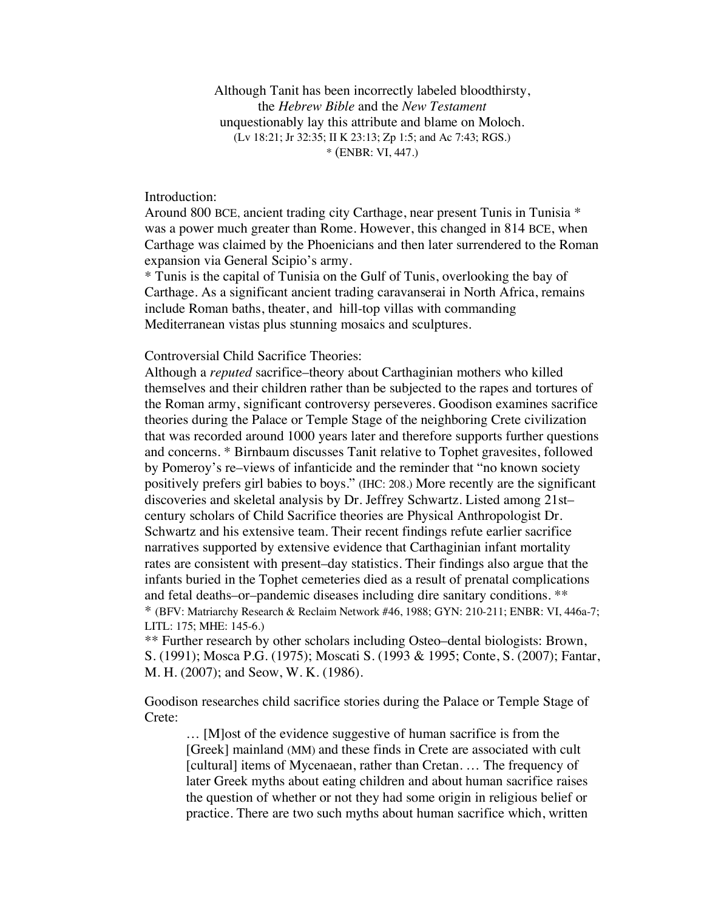Although Tanit has been incorrectly labeled bloodthirsty, the *Hebrew Bible* and the *New Testament* unquestionably lay this attribute and blame on Moloch. (Lv 18:21; Jr 32:35; II K 23:13; Zp 1:5; and Ac 7:43; RGS.) \* (ENBR: VI, 447.)

Introduction:

Around 800 BCE, ancient trading city Carthage, near present Tunis in Tunisia \* was a power much greater than Rome. However, this changed in 814 BCE, when Carthage was claimed by the Phoenicians and then later surrendered to the Roman expansion via General Scipio's army.

\* Tunis is the capital of Tunisia on the Gulf of Tunis, overlooking the bay of Carthage. As a significant ancient trading caravanserai in North Africa, remains include Roman baths, theater, and hill-top villas with commanding Mediterranean vistas plus stunning mosaics and sculptures.

## Controversial Child Sacrifice Theories:

Although a *reputed* sacrifice–theory about Carthaginian mothers who killed themselves and their children rather than be subjected to the rapes and tortures of the Roman army, significant controversy perseveres. Goodison examines sacrifice theories during the Palace or Temple Stage of the neighboring Crete civilization that was recorded around 1000 years later and therefore supports further questions and concerns. \* Birnbaum discusses Tanit relative to Tophet gravesites, followed by Pomeroy's re–views of infanticide and the reminder that "no known society positively prefers girl babies to boys." (IHC: 208.) More recently are the significant discoveries and skeletal analysis by Dr. Jeffrey Schwartz. Listed among 21st– century scholars of Child Sacrifice theories are Physical Anthropologist Dr. Schwartz and his extensive team. Their recent findings refute earlier sacrifice narratives supported by extensive evidence that Carthaginian infant mortality rates are consistent with present–day statistics. Their findings also argue that the infants buried in the Tophet cemeteries died as a result of prenatal complications and fetal deaths–or–pandemic diseases including dire sanitary conditions. \*\* \* (BFV: Matriarchy Research & Reclaim Network #46, 1988; GYN: 210-211; ENBR: VI, 446a-7; LITL: 175; MHE: 145-6.)

\*\* Further research by other scholars including Osteo–dental biologists: Brown, S. (1991); Mosca P.G. (1975); Moscati S. (1993 & 1995; Conte, S. (2007); Fantar, M. H. (2007); and Seow, W. K. (1986).

Goodison researches child sacrifice stories during the Palace or Temple Stage of Crete:

… [M]ost of the evidence suggestive of human sacrifice is from the [Greek] mainland (MM) and these finds in Crete are associated with cult [cultural] items of Mycenaean, rather than Cretan. … The frequency of later Greek myths about eating children and about human sacrifice raises the question of whether or not they had some origin in religious belief or practice. There are two such myths about human sacrifice which, written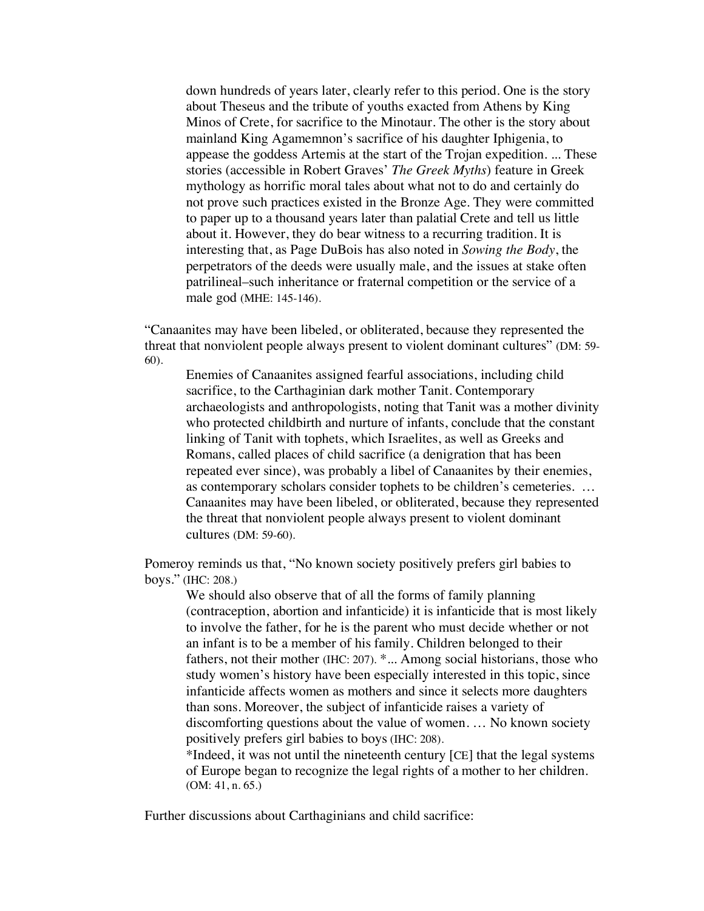down hundreds of years later, clearly refer to this period. One is the story about Theseus and the tribute of youths exacted from Athens by King Minos of Crete, for sacrifice to the Minotaur. The other is the story about mainland King Agamemnon's sacrifice of his daughter Iphigenia, to appease the goddess Artemis at the start of the Trojan expedition. ... These stories (accessible in Robert Graves' *The Greek Myths*) feature in Greek mythology as horrific moral tales about what not to do and certainly do not prove such practices existed in the Bronze Age. They were committed to paper up to a thousand years later than palatial Crete and tell us little about it. However, they do bear witness to a recurring tradition. It is interesting that, as Page DuBois has also noted in *Sowing the Body*, the perpetrators of the deeds were usually male, and the issues at stake often patrilineal–such inheritance or fraternal competition or the service of a male god (MHE: 145-146).

"Canaanites may have been libeled, or obliterated, because they represented the threat that nonviolent people always present to violent dominant cultures" (DM: 59- 60).

Enemies of Canaanites assigned fearful associations, including child sacrifice, to the Carthaginian dark mother Tanit. Contemporary archaeologists and anthropologists, noting that Tanit was a mother divinity who protected childbirth and nurture of infants, conclude that the constant linking of Tanit with tophets, which Israelites, as well as Greeks and Romans, called places of child sacrifice (a denigration that has been repeated ever since), was probably a libel of Canaanites by their enemies, as contemporary scholars consider tophets to be children's cemeteries. … Canaanites may have been libeled, or obliterated, because they represented the threat that nonviolent people always present to violent dominant cultures (DM: 59-60).

Pomeroy reminds us that, "No known society positively prefers girl babies to boys." (IHC: 208.)

We should also observe that of all the forms of family planning (contraception, abortion and infanticide) it is infanticide that is most likely to involve the father, for he is the parent who must decide whether or not an infant is to be a member of his family. Children belonged to their fathers, not their mother (IHC: 207). \*... Among social historians, those who study women's history have been especially interested in this topic, since infanticide affects women as mothers and since it selects more daughters than sons. Moreover, the subject of infanticide raises a variety of discomforting questions about the value of women. … No known society positively prefers girl babies to boys (IHC: 208).

\*Indeed, it was not until the nineteenth century [CE] that the legal systems of Europe began to recognize the legal rights of a mother to her children. (OM: 41, n. 65.)

Further discussions about Carthaginians and child sacrifice: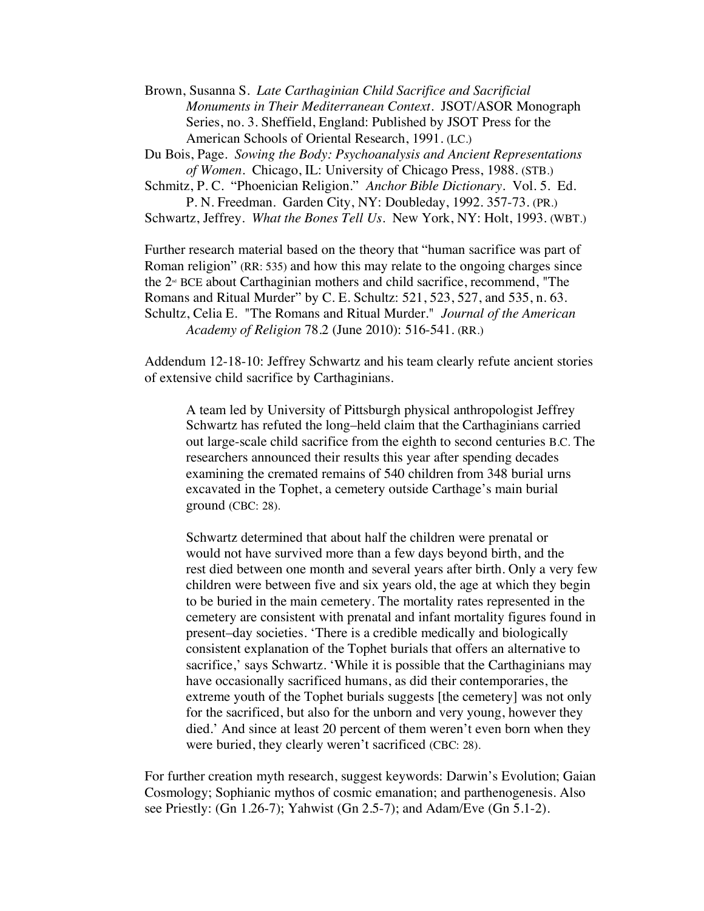Brown, Susanna S. *Late Carthaginian Child Sacrifice and Sacrificial Monuments in Their Mediterranean Context*. JSOT/ASOR Monograph Series, no. 3. Sheffield, England: Published by JSOT Press for the American Schools of Oriental Research, 1991. (LC.)

Du Bois, Page. *Sowing the Body: Psychoanalysis and Ancient Representations of Women.* Chicago, IL: University of Chicago Press, 1988. (STB.)

Schmitz, P. C. "Phoenician Religion." *Anchor Bible Dictionary*. Vol. 5. Ed. P. N. Freedman. Garden City, NY: Doubleday, 1992. 357-73. (PR.)

Schwartz, Jeffrey. *What the Bones Tell Us*. New York, NY: Holt, 1993. (WBT.)

Further research material based on the theory that "human sacrifice was part of Roman religion" (RR: 535) and how this may relate to the ongoing charges since the  $2<sup>nd</sup>$  BCE about Carthaginian mothers and child sacrifice, recommend, "The Romans and Ritual Murder" by C. E. Schultz: 521, 523, 527, and 535, n. 63. Schultz, Celia E. "The Romans and Ritual Murder." *Journal of the American Academy of Religion* 78.2 (June 2010): 516-541. (RR.)

Addendum 12-18-10: Jeffrey Schwartz and his team clearly refute ancient stories of extensive child sacrifice by Carthaginians.

A team led by University of Pittsburgh physical anthropologist Jeffrey Schwartz has refuted the long–held claim that the Carthaginians carried out large-scale child sacrifice from the eighth to second centuries B.C. The researchers announced their results this year after spending decades examining the cremated remains of 540 children from 348 burial urns excavated in the Tophet, a cemetery outside Carthage's main burial ground (CBC: 28).

Schwartz determined that about half the children were prenatal or would not have survived more than a few days beyond birth, and the rest died between one month and several years after birth. Only a very few children were between five and six years old, the age at which they begin to be buried in the main cemetery. The mortality rates represented in the cemetery are consistent with prenatal and infant mortality figures found in present–day societies. 'There is a credible medically and biologically consistent explanation of the Tophet burials that offers an alternative to sacrifice,' says Schwartz. 'While it is possible that the Carthaginians may have occasionally sacrificed humans, as did their contemporaries, the extreme youth of the Tophet burials suggests [the cemetery] was not only for the sacrificed, but also for the unborn and very young, however they died.' And since at least 20 percent of them weren't even born when they were buried, they clearly weren't sacrificed (CBC: 28).

For further creation myth research, suggest keywords: Darwin's Evolution; Gaian Cosmology; Sophianic mythos of cosmic emanation; and parthenogenesis. Also see Priestly: (Gn 1.26-7); Yahwist (Gn 2.5-7); and Adam/Eve (Gn 5.1-2).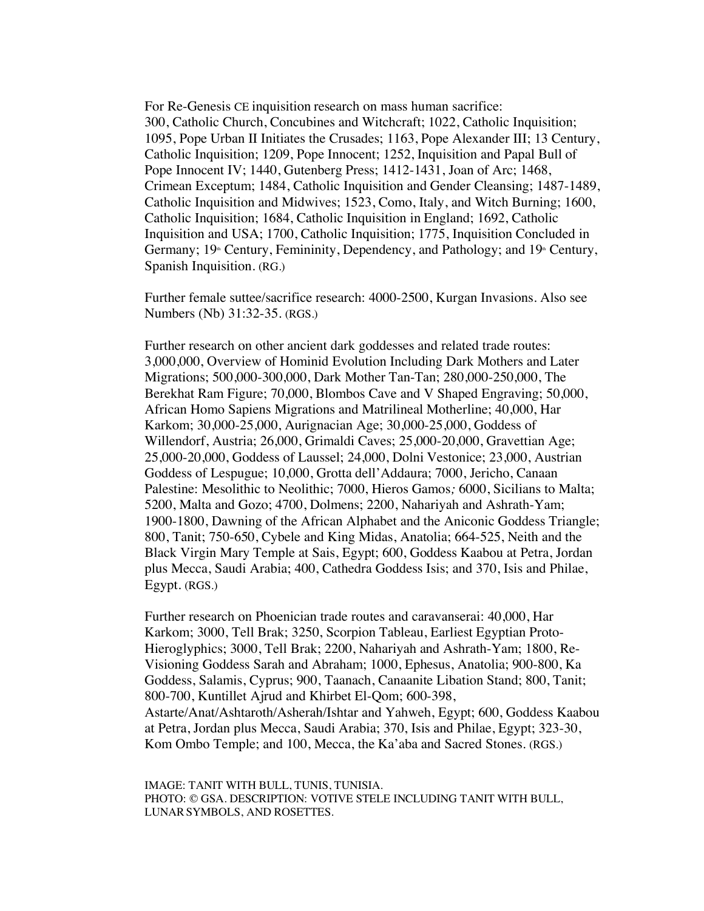For Re-Genesis CE inquisition research on mass human sacrifice: 300, Catholic Church, Concubines and Witchcraft; 1022, Catholic Inquisition; 1095, Pope Urban II Initiates the Crusades; 1163, Pope Alexander III; 13 Century, Catholic Inquisition; 1209, Pope Innocent; 1252, Inquisition and Papal Bull of Pope Innocent IV; 1440, Gutenberg Press; 1412-1431, Joan of Arc; 1468, Crimean Exceptum; 1484, Catholic Inquisition and Gender Cleansing; 1487-1489, Catholic Inquisition and Midwives; 1523, Como, Italy, and Witch Burning; 1600, Catholic Inquisition; 1684, Catholic Inquisition in England; 1692, Catholic Inquisition and USA; 1700, Catholic Inquisition; 1775, Inquisition Concluded in Germany;  $19^{\circ}$  Century, Femininity, Dependency, and Pathology; and  $19^{\circ}$  Century, Spanish Inquisition. (RG.)

Further female suttee/sacrifice research: 4000-2500, Kurgan Invasions. Also see Numbers (Nb) 31:32-35. (RGS.)

Further research on other ancient dark goddesses and related trade routes: 3,000,000, Overview of Hominid Evolution Including Dark Mothers and Later Migrations; 500,000-300,000, Dark Mother Tan-Tan; 280,000-250,000, The Berekhat Ram Figure; 70,000, Blombos Cave and V Shaped Engraving; 50,000, African Homo Sapiens Migrations and Matrilineal Motherline; 40,000, Har Karkom; 30,000-25,000, Aurignacian Age; 30,000-25,000, Goddess of Willendorf, Austria; 26,000, Grimaldi Caves; 25,000-20,000, Gravettian Age; 25,000-20,000, Goddess of Laussel; 24,000, Dolni Vestonice; 23,000, Austrian Goddess of Lespugue; 10,000, Grotta dell'Addaura; 7000, Jericho, Canaan Palestine: Mesolithic to Neolithic; 7000, Hieros Gamos*;* 6000, Sicilians to Malta; 5200, Malta and Gozo; 4700, Dolmens; 2200, Nahariyah and Ashrath-Yam; 1900-1800, Dawning of the African Alphabet and the Aniconic Goddess Triangle; 800, Tanit; 750-650, Cybele and King Midas, Anatolia; 664-525, Neith and the Black Virgin Mary Temple at Sais, Egypt; 600, Goddess Kaabou at Petra, Jordan plus Mecca, Saudi Arabia; 400, Cathedra Goddess Isis; and 370, Isis and Philae, Egypt. (RGS.)

Further research on Phoenician trade routes and caravanserai: 40,000, Har Karkom; 3000, Tell Brak; 3250, Scorpion Tableau, Earliest Egyptian Proto-Hieroglyphics; 3000, Tell Brak; 2200, Nahariyah and Ashrath-Yam; 1800, Re-Visioning Goddess Sarah and Abraham; 1000, Ephesus, Anatolia; 900-800, Ka Goddess, Salamis, Cyprus; 900, Taanach, Canaanite Libation Stand; 800, Tanit; 800-700, Kuntillet Ajrud and Khirbet El-Qom; 600-398, Astarte/Anat/Ashtaroth/Asherah/Ishtar and Yahweh, Egypt; 600, Goddess Kaabou at Petra, Jordan plus Mecca, Saudi Arabia; 370, Isis and Philae, Egypt; 323-30, Kom Ombo Temple; and 100, Mecca, the Ka'aba and Sacred Stones. (RGS.)

IMAGE: TANIT WITH BULL, TUNIS, TUNISIA. PHOTO: © GSA. DESCRIPTION: VOTIVE STELE INCLUDING TANIT WITH BULL, LUNARSYMBOLS, AND ROSETTES.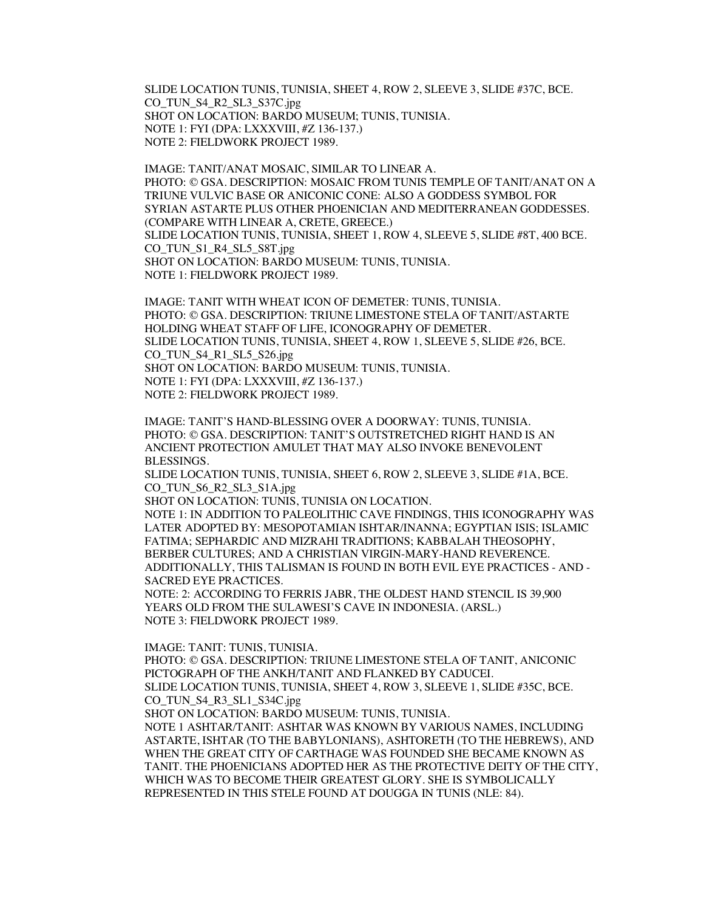SLIDE LOCATION TUNIS, TUNISIA, SHEET 4, ROW 2, SLEEVE 3, SLIDE #37C, BCE. CO\_TUN\_S4\_R2\_SL3\_S37C.jpg SHOT ON LOCATION: BARDO MUSEUM; TUNIS, TUNISIA. NOTE 1: FYI (DPA: LXXXVIII, #Z 136-137.) NOTE 2: FIELDWORK PROJECT 1989.

IMAGE: TANIT/ANAT MOSAIC, SIMILAR TO LINEAR A. PHOTO: © GSA. DESCRIPTION: MOSAIC FROM TUNIS TEMPLE OF TANIT/ANAT ON A TRIUNE VULVIC BASE OR ANICONIC CONE: ALSO A GODDESS SYMBOL FOR SYRIAN ASTARTE PLUS OTHER PHOENICIAN AND MEDITERRANEAN GODDESSES. (COMPARE WITH LINEAR A, CRETE, GREECE.) SLIDE LOCATION TUNIS, TUNISIA, SHEET 1, ROW 4, SLEEVE 5, SLIDE #8T, 400 BCE. CO\_TUN\_S1\_R4\_SL5\_S8T.jpg SHOT ON LOCATION: BARDO MUSEUM: TUNIS, TUNISIA. NOTE 1: FIELDWORK PROJECT 1989.

IMAGE: TANIT WITH WHEAT ICON OF DEMETER: TUNIS, TUNISIA. PHOTO: © GSA. DESCRIPTION: TRIUNE LIMESTONE STELA OF TANIT/ASTARTE HOLDING WHEAT STAFF OF LIFE, ICONOGRAPHY OF DEMETER. SLIDE LOCATION TUNIS, TUNISIA, SHEET 4, ROW 1, SLEEVE 5, SLIDE #26, BCE. CO\_TUN\_S4\_R1\_SL5\_S26.jpg SHOT ON LOCATION: BARDO MUSEUM: TUNIS, TUNISIA. NOTE 1: FYI (DPA: LXXXVIII, #Z 136-137.) NOTE 2: FIELDWORK PROJECT 1989.

IMAGE: TANIT'S HAND-BLESSING OVER A DOORWAY: TUNIS, TUNISIA. PHOTO: © GSA. DESCRIPTION: TANIT'S OUTSTRETCHED RIGHT HAND IS AN ANCIENT PROTECTION AMULET THAT MAY ALSO INVOKE BENEVOLENT BLESSINGS.

SLIDE LOCATION TUNIS, TUNISIA, SHEET 6, ROW 2, SLEEVE 3, SLIDE #1A, BCE. CO\_TUN\_S6\_R2\_SL3\_S1A.jpg

SHOT ON LOCATION: TUNIS, TUNISIA ON LOCATION.

NOTE 1: IN ADDITION TO PALEOLITHIC CAVE FINDINGS, THIS ICONOGRAPHY WAS LATER ADOPTED BY: MESOPOTAMIAN ISHTAR/INANNA; EGYPTIAN ISIS; ISLAMIC FATIMA; SEPHARDIC AND MIZRAHI TRADITIONS; KABBALAH THEOSOPHY, BERBER CULTURES; AND A CHRISTIAN VIRGIN-MARY-HAND REVERENCE. ADDITIONALLY, THIS TALISMAN IS FOUND IN BOTH EVIL EYE PRACTICES - AND - SACRED EYE PRACTICES.

NOTE: 2: ACCORDING TO FERRIS JABR, THE OLDEST HAND STENCIL IS 39,900 YEARS OLD FROM THE SULAWESI'S CAVE IN INDONESIA. (ARSL.) NOTE 3: FIELDWORK PROJECT 1989.

IMAGE: TANIT: TUNIS, TUNISIA.

PHOTO: © GSA. DESCRIPTION: TRIUNE LIMESTONE STELA OF TANIT, ANICONIC PICTOGRAPH OF THE ANKH/TANIT AND FLANKED BY CADUCEI. SLIDE LOCATION TUNIS, TUNISIA, SHEET 4, ROW 3, SLEEVE 1, SLIDE #35C, BCE. CO\_TUN\_S4\_R3\_SL1\_S34C.jpg

SHOT ON LOCATION: BARDO MUSEUM: TUNIS, TUNISIA.

NOTE 1 ASHTAR/TANIT: ASHTAR WAS KNOWN BY VARIOUS NAMES, INCLUDING ASTARTE, ISHTAR (TO THE BABYLONIANS), ASHTORETH (TO THE HEBREWS), AND WHEN THE GREAT CITY OF CARTHAGE WAS FOUNDED SHE BECAME KNOWN AS TANIT. THE PHOENICIANS ADOPTED HER AS THE PROTECTIVE DEITY OF THE CITY, WHICH WAS TO BECOME THEIR GREATEST GLORY. SHE IS SYMBOLICALLY REPRESENTED IN THIS STELE FOUND AT DOUGGA IN TUNIS (NLE: 84).